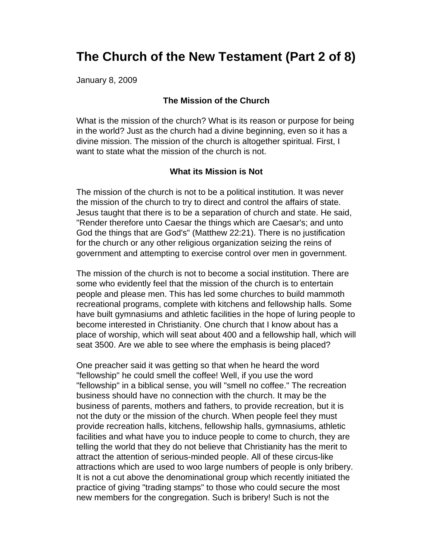# **The Church of the New Testament (Part 2 of 8)**

January 8, 2009

#### **The Mission of the Church**

What is the mission of the church? What is its reason or purpose for being in the world? Just as the church had a divine beginning, even so it has a divine mission. The mission of the church is altogether spiritual. First, I want to state what the mission of the church is not.

#### **What its Mission is Not**

The mission of the church is not to be a political institution. It was never the mission of the church to try to direct and control the affairs of state. Jesus taught that there is to be a separation of church and state. He said, "Render therefore unto Caesar the things which are Caesar's; and unto God the things that are God's" (Matthew 22:21). There is no justification for the church or any other religious organization seizing the reins of government and attempting to exercise control over men in government.

The mission of the church is not to become a social institution. There are some who evidently feel that the mission of the church is to entertain people and please men. This has led some churches to build mammoth recreational programs, complete with kitchens and fellowship halls. Some have built gymnasiums and athletic facilities in the hope of luring people to become interested in Christianity. One church that I know about has a place of worship, which will seat about 400 and a fellowship hall, which will seat 3500. Are we able to see where the emphasis is being placed?

One preacher said it was getting so that when he heard the word "fellowship" he could smell the coffee! Well, if you use the word "fellowship" in a biblical sense, you will "smell no coffee." The recreation business should have no connection with the church. It may be the business of parents, mothers and fathers, to provide recreation, but it is not the duty or the mission of the church. When people feel they must provide recreation halls, kitchens, fellowship halls, gymnasiums, athletic facilities and what have you to induce people to come to church, they are telling the world that they do not believe that Christianity has the merit to attract the attention of serious-minded people. All of these circus-like attractions which are used to woo large numbers of people is only bribery. It is not a cut above the denominational group which recently initiated the practice of giving "trading stamps" to those who could secure the most new members for the congregation. Such is bribery! Such is not the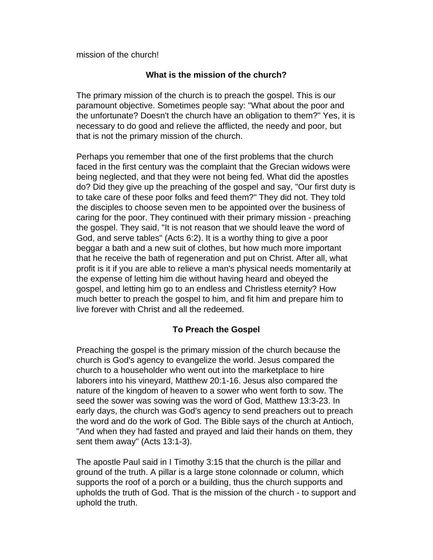mission of the church!

## **What is the mission of the church?**

The primary mission of the church is to preach the gospel. This is our paramount objective. Sometimes people say: "What about the poor and the unfortunate? Doesn't the church have an obligation to them?" Yes, it is necessary to do good and relieve the afflicted, the needy and poor, but that is not the primary mission of the church.

Perhaps you remember that one of the first problems that the church faced in the first century was the complaint that the Grecian widows were being neglected, and that they were not being fed. What did the apostles do? Did they give up the preaching of the gospel and say, "Our first duty is to take care of these poor folks and feed them?" They did not. They told the disciples to choose seven men to be appointed over the business of caring for the poor. They continued with their primary mission - preaching the gospel. They said, "It is not reason that we should leave the word of God, and serve tables" (Acts 6:2). It is a worthy thing to give a poor beggar a bath and a new suit of clothes, but how much more important that he receive the bath of regeneration and put on Christ. After all, what profit is it if you are able to relieve a man's physical needs momentarily at the expense of letting him die without having heard and obeyed the gospel, and letting him go to an endless and Christless eternity? How much better to preach the gospel to him, and fit him and prepare him to live forever with Christ and all the redeemed.

## **To Preach the Gospel**

Preaching the gospel is the primary mission of the church because the church is God's agency to evangelize the world. Jesus compared the church to a householder who went out into the marketplace to hire laborers into his vineyard, Matthew 20:1-16. Jesus also compared the nature of the kingdom of heaven to a sower who went forth to sow. The seed the sower was sowing was the word of God, Matthew 13:3-23. In early days, the church was God's agency to send preachers out to preach the word and do the work of God. The Bible says of the church at Antioch, "And when they had fasted and prayed and laid their hands on them, they sent them away" (Acts 13:1-3).

The apostle Paul said in I Timothy 3:15 that the church is the pillar and ground of the truth. A pillar is a large stone colonnade or column, which supports the roof of a porch or a building, thus the church supports and upholds the truth of God. That is the mission of the church - to support and uphold the truth.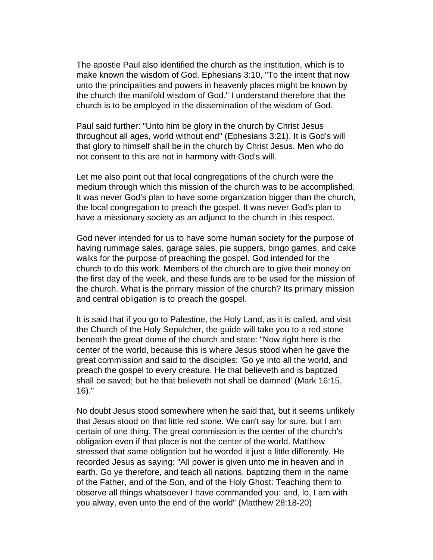The apostle Paul also identified the church as the institution, which is to make known the wisdom of God. Ephesians 3:10, "To the intent that now unto the principalities and powers in heavenly places might be known by the church the manifold wisdom of God." I understand therefore that the church is to be employed in the dissemination of the wisdom of God.

Paul said further: "Unto him be glory in the church by Christ Jesus throughout all ages, world without end" (Ephesians 3:21). It is God's will that glory to himself shall be in the church by Christ Jesus. Men who do not consent to this are not in harmony with God's will.

Let me also point out that local congregations of the church were the medium through which this mission of the church was to be accomplished. It was never God's plan to have some organization bigger than the church, the local congregation to preach the gospel. It was never God's plan to have a missionary society as an adjunct to the church in this respect.

God never intended for us to have some human society for the purpose of having rummage sales, garage sales, pie suppers, bingo games, and cake walks for the purpose of preaching the gospel. God intended for the church to do this work. Members of the church are to give their money on the first day of the week, and these funds are to be used for the mission of the church. What is the primary mission of the church? Its primary mission and central obligation is to preach the gospel.

It is said that if you go to Palestine, the Holy Land, as it is called, and visit the Church of the Holy Sepulcher, the guide will take you to a red stone beneath the great dome of the church and state: "Now right here is the center of the world, because this is where Jesus stood when he gave the great commission and said to the disciples: 'Go ye into all the world, and preach the gospel to every creature. He that believeth and is baptized shall be saved; but he that believeth not shall be damned' (Mark 16:15, 16)."

No doubt Jesus stood somewhere when he said that, but it seems unlikely that Jesus stood on that little red stone. We can't say for sure, but I am certain of one thing. The great commission is the center of the church's obligation even if that place is not the center of the world. Matthew stressed that same obligation but he worded it just a little differently. He recorded Jesus as saying: "All power is given unto me in heaven and in earth. Go ye therefore, and teach all nations, baptizing them in the name of the Father, and of the Son, and of the Holy Ghost: Teaching them to observe all things whatsoever I have commanded you: and, lo, I am with you alway, even unto the end of the world" (Matthew 28:18-20)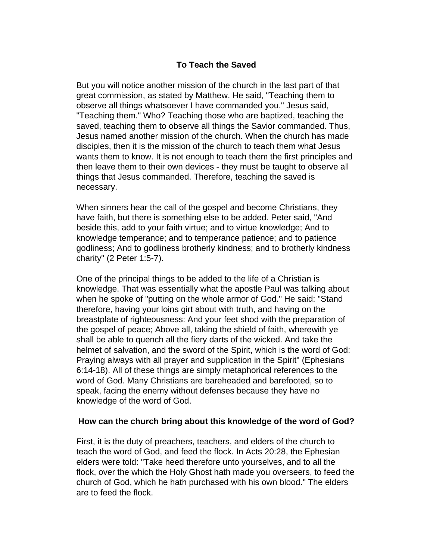## **To Teach the Saved**

But you will notice another mission of the church in the last part of that great commission, as stated by Matthew. He said, "Teaching them to observe all things whatsoever I have commanded you." Jesus said, "Teaching them." Who? Teaching those who are baptized, teaching the saved, teaching them to observe all things the Savior commanded. Thus, Jesus named another mission of the church. When the church has made disciples, then it is the mission of the church to teach them what Jesus wants them to know. It is not enough to teach them the first principles and then leave them to their own devices - they must be taught to observe all things that Jesus commanded. Therefore, teaching the saved is necessary.

When sinners hear the call of the gospel and become Christians, they have faith, but there is something else to be added. Peter said, "And beside this, add to your faith virtue; and to virtue knowledge; And to knowledge temperance; and to temperance patience; and to patience godliness; And to godliness brotherly kindness; and to brotherly kindness charity" (2 Peter 1:5-7).

One of the principal things to be added to the life of a Christian is knowledge. That was essentially what the apostle Paul was talking about when he spoke of "putting on the whole armor of God." He said: "Stand therefore, having your loins girt about with truth, and having on the breastplate of righteousness: And your feet shod with the preparation of the gospel of peace; Above all, taking the shield of faith, wherewith ye shall be able to quench all the fiery darts of the wicked. And take the helmet of salvation, and the sword of the Spirit, which is the word of God: Praying always with all prayer and supplication in the Spirit" (Ephesians 6:14-18). All of these things are simply metaphorical references to the word of God. Many Christians are bareheaded and barefooted, so to speak, facing the enemy without defenses because they have no knowledge of the word of God.

#### **How can the church bring about this knowledge of the word of God?**

First, it is the duty of preachers, teachers, and elders of the church to teach the word of God, and feed the flock. In Acts 20:28, the Ephesian elders were told: "Take heed therefore unto yourselves, and to all the flock, over the which the Holy Ghost hath made you overseers, to feed the church of God, which he hath purchased with his own blood." The elders are to feed the flock.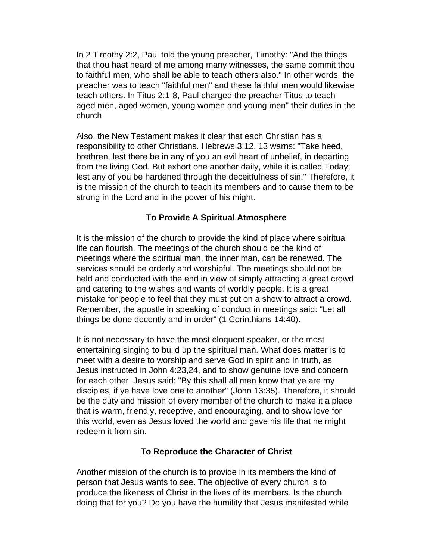In 2 Timothy 2:2, Paul told the young preacher, Timothy: "And the things that thou hast heard of me among many witnesses, the same commit thou to faithful men, who shall be able to teach others also." In other words, the preacher was to teach "faithful men" and these faithful men would likewise teach others. In Titus 2:1-8, Paul charged the preacher Titus to teach aged men, aged women, young women and young men" their duties in the church.

Also, the New Testament makes it clear that each Christian has a responsibility to other Christians. Hebrews 3:12, 13 warns: "Take heed, brethren, lest there be in any of you an evil heart of unbelief, in departing from the living God. But exhort one another daily, while it is called Today; lest any of you be hardened through the deceitfulness of sin." Therefore, it is the mission of the church to teach its members and to cause them to be strong in the Lord and in the power of his might.

# **To Provide A Spiritual Atmosphere**

It is the mission of the church to provide the kind of place where spiritual life can flourish. The meetings of the church should be the kind of meetings where the spiritual man, the inner man, can be renewed. The services should be orderly and worshipful. The meetings should not be held and conducted with the end in view of simply attracting a great crowd and catering to the wishes and wants of worldly people. It is a great mistake for people to feel that they must put on a show to attract a crowd. Remember, the apostle in speaking of conduct in meetings said: "Let all things be done decently and in order" (1 Corinthians 14:40).

It is not necessary to have the most eloquent speaker, or the most entertaining singing to build up the spiritual man. What does matter is to meet with a desire to worship and serve God in spirit and in truth, as Jesus instructed in John 4:23,24, and to show genuine love and concern for each other. Jesus said: "By this shall all men know that ye are my disciples, if ye have love one to another" (John 13:35). Therefore, it should be the duty and mission of every member of the church to make it a place that is warm, friendly, receptive, and encouraging, and to show love for this world, even as Jesus loved the world and gave his life that he might redeem it from sin.

## **To Reproduce the Character of Christ**

Another mission of the church is to provide in its members the kind of person that Jesus wants to see. The objective of every church is to produce the likeness of Christ in the lives of its members. Is the church doing that for you? Do you have the humility that Jesus manifested while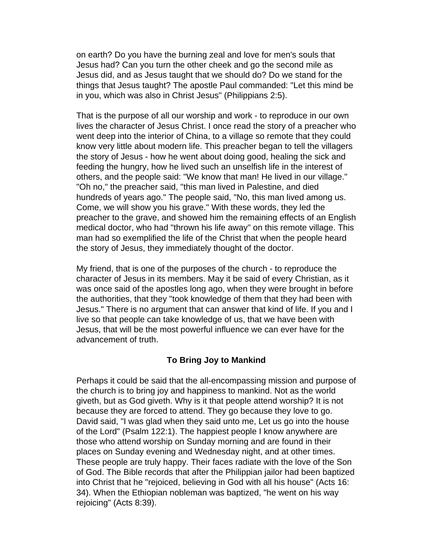on earth? Do you have the burning zeal and love for men's souls that Jesus had? Can you turn the other cheek and go the second mile as Jesus did, and as Jesus taught that we should do? Do we stand for the things that Jesus taught? The apostle Paul commanded: "Let this mind be in you, which was also in Christ Jesus" (Philippians 2:5).

That is the purpose of all our worship and work - to reproduce in our own lives the character of Jesus Christ. I once read the story of a preacher who went deep into the interior of China, to a village so remote that they could know very little about modern life. This preacher began to tell the villagers the story of Jesus - how he went about doing good, healing the sick and feeding the hungry, how he lived such an unselfish life in the interest of others, and the people said: "We know that man! He lived in our village." "Oh no," the preacher said, "this man lived in Palestine, and died hundreds of years ago." The people said, "No, this man lived among us. Come, we will show you his grave." With these words, they led the preacher to the grave, and showed him the remaining effects of an English medical doctor, who had "thrown his life away" on this remote village. This man had so exemplified the life of the Christ that when the people heard the story of Jesus, they immediately thought of the doctor.

My friend, that is one of the purposes of the church - to reproduce the character of Jesus in its members. May it be said of every Christian, as it was once said of the apostles long ago, when they were brought in before the authorities, that they "took knowledge of them that they had been with Jesus." There is no argument that can answer that kind of life. If you and I live so that people can take knowledge of us, that we have been with Jesus, that will be the most powerful influence we can ever have for the advancement of truth.

## **To Bring Joy to Mankind**

Perhaps it could be said that the all-encompassing mission and purpose of the church is to bring joy and happiness to mankind. Not as the world giveth, but as God giveth. Why is it that people attend worship? It is not because they are forced to attend. They go because they love to go. David said, "I was glad when they said unto me, Let us go into the house of the Lord" (Psalm 122:1). The happiest people I know anywhere are those who attend worship on Sunday morning and are found in their places on Sunday evening and Wednesday night, and at other times. These people are truly happy. Their faces radiate with the love of the Son of God. The Bible records that after the Philippian jailor had been baptized into Christ that he "rejoiced, believing in God with all his house" (Acts 16: 34). When the Ethiopian nobleman was baptized, "he went on his way rejoicing" (Acts 8:39).